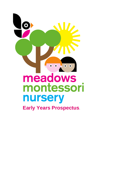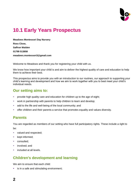

# **10.1 Early Years Prospectus**

**Meadows Montessori Day Nursery Ross Close, Saffron Walden 01799 513858 meadows.montessori3@gmail.com**

Welcome to Meadows and thank you for registering your child with us.

We know how important your child is and aim to deliver the highest quality of care and education to help them to achieve their best.

This prospectus aims to provide you with an introduction to our routines, our approach to supporting your child's learning and development and how we aim to work together with you to best meet your child's individual needs.

### **Our setting aims to:**

- **•** provide high quality care and education for children up to the age of eight;
- work in partnership with parents to help children to learn and develop;
- add to the life and well-being of the local community; and
- **•** offer children and their parents a service that promotes equality and values diversity.

### **Parents**

You are regarded as members of our setting who have full participatory rights. These include a right to be:

- valued and respected;
- **■** kept informed:
- consulted;
- involved: and
- included at all levels.

# **Children's development and learning**

We aim to ensure that each child:

■ is in a safe and stimulating environment;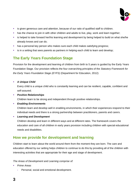

- **EXTER** is given generous care and attention, because of our ratio of qualified staff to children.
- **•** has the chance to join in with other children and adults to live, play, work and learn together;
- **.** is helped to take forward her/his learning and development by being helped to build on what she/he already knows and can do;
- **E** has a personal key person who makes sure each child makes satisfying progress;
- **E** is in a setting that sees parents as partners in helping each child to learn and develop;

# **The Early Years Foundation Stage**

Provision for the development and learning of children from birth to 5 years is guided by the Early Years Foundation Stage. Our provision reflects the four overarching principles of the *Statutory Framework for the Early Years Foundation Stage (EYFS)* (Department for Education, 2012):

#### ▪ *A Unique Child*

Every child is a unique child who is constantly learning and can be resilient, capable, confident and self-assured.

▪ *Positive Relationships*

Children learn to be strong and independent through positive relationships.

#### ▪ *Enabling Environments*

Children learn and develop well in enabling environments, in which their experiences respond to their individual needs and there is a strong partnership between practitioners, parents and carers.

▪ *Learning and Development*

Children develop and learn in different ways and at different rates. The framework covers the education and care of all children in early years provision including children with special educational needs and disabilities.

### **How we provide for development and learning**

Children start to learn about the world around them from the moment they are born. The care and education offered by our setting helps children to continue to do this by providing all of the children with interesting activities that are appropriate for their age and stage of development.

#### *The Areas of Development and Learning comprise of:*

- *Prime Areas*
	- **-** Personal, social and emotional development.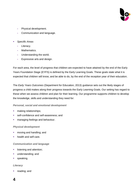

- **-** Physical development.
- **-** Communication and language.
- *Specific Areas* 
	- **-** Literacy.
	- **-** Mathematics.
	- **-** Understanding the world.
	- **-** Expressive arts and design.

For each area, the level of progress that children are expected to have attained by the end of the Early Years Foundation Stage (EYFS) is defined by the Early Learning Goals. These goals state what it is expected that children will know, and be able to do, by the end of the reception year of their education.

The *Early Years Outcomes* (Department for Education, 2013) guidance sets out the likely stages of progress a child makes along their progress towards the Early Learning Goals. Our setting has regard to these when we assess children and plan for their learning. Our programme supports children to develop the knowledge, skills and understanding they need for:

#### *Personal, social and emotional development*

- **•** making relationships;
- **EXECONFERGEDEE SET** self-awareness: and
- **■** managing feelings and behaviour.

#### *Physical development*

- **•** moving and handling; and
- **•** health and self-care.

#### *Communication and language*

- **■** listening and attention;
- **■** understanding; and
- speaking.

#### *Literacy*

reading; and

### **4**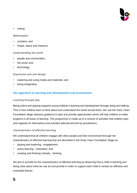

#### ■ writing.

#### *Mathematics*

- numbers; and
- shape, space and measure.

#### *Understanding the world*

- **•** people and communities;
- the world; and
- technology.

#### *Expressive arts and design*

- exploring and using media and materials; and
- **•** being imaginative.

#### *Our approach to learning and development and assessment*

#### *Learning through play*

Being active and playing supports young children's learning and development through doing and talking. This is how children learn to think about and understand the world around them. We use the Early Years Foundation Stage statutory guidance to plan and provide opportunities which will help children to make progress in all areas of learning. This programme is made up of a mixture of activities that children plan and organise for themselves and activities planned and led by practitioners.

#### *Characteristics of effective learning*

We understand that all children engage with other people and their environment through the characteristics of effective learning that are described in the Early Years Foundation Stage as:

- **•** playing and exploring engagement;
- active learning motivation; and
- **•** creating and thinking critically thinking.

We aim to provide for the characteristics of effective learning by observing how a child is learning and being clear about what we can do and provide in order to support each child to remain an effective and motivated learner.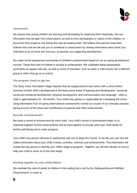

#### *Assessment*

We assess how young children are learning and developing by observing them frequently. We use information that we gain from observations, as well as from photographs or videos of the children, to document their progress and where this may be leading them. We believe that parents know their children best and we will ask you to contribute to assessment by sharing information about what your child likes to do at home and how you, as parents, are supporting development.

We make termly assessment summaries of children's achievement based on our on-going development records. These form part of children's records of achievement. We undertake these assessment summaries at regular intervals, as well as times of transition, such as when a child moves into a different group or when they go on to school.

#### *The progress check at age two*

The Early Years Foundation Stage requires that we supply parents and carers with a short-written summary of their child's development in the three prime areas of learning and development - personal, social and emotional development; physical development; and communication and language - when a child is aged between 24 - 36 months. Your child's key person is responsible for completing the check using information from on-going observational assessments carried out as part of our everyday practice, taking account of the views and contributions of parents and other professionals.

#### *Records of achievement*

We keep a record of achievement for each child. Your child's record of achievement helps us to celebrate together her/his achievements and to work together to provide what your child needs for her/his well-being and to make progress.

Your child's key person will work in partnership with you to keep this record. To do this you and she will collect information about your child's needs, activities, interests and achievements. This information will enable the key person to identify your child's stage of progress. Together, we will then decide on how to help your child to move on to the next stage.

#### *Working together for your child/children*

We maintain the ratio of adults to children in the setting that is set by the Safeguarding and Welfare Requirements. In order to:

### **6**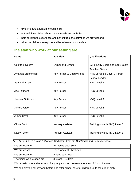

- give time and attention to each child;
- talk with the children about their interests and activities;
- help children to experience and benefit from the activities we provide; and
- allow the children to explore and be adventurous in safety.

## **The staff who work at our setting are:**

| <b>Name</b>        | <b>Job Title</b>          | <b>Qualifications</b>             |
|--------------------|---------------------------|-----------------------------------|
|                    |                           |                                   |
| Colette Loveday    | <b>Owner and Director</b> | BA in Early Years and Early Years |
|                    |                           | <b>Teacher Status</b>             |
| Amanda Broomhead   | Key Person & Deputy Head  | NVQ Level 3 & Level 3 Forest      |
|                    |                           | <b>School Leader</b>              |
| Samantha Law       | <b>Key Person</b>         | NVQ Level 3                       |
|                    |                           |                                   |
| Zoe Patmore        | <b>Key Person</b>         | NVQ Level 3                       |
|                    |                           |                                   |
| Jessica Dickinson  | <b>Key Person</b>         | NVQ Level 3                       |
|                    |                           |                                   |
| Jane Overson       | <b>Key Person</b>         | NVQ Level 2                       |
|                    |                           |                                   |
| Aimee Savill       | <b>Key Person</b>         | NVQ Level 3                       |
|                    |                           |                                   |
| <b>Chloe Smith</b> | <b>Nursery Assistant</b>  | Training towards NVQ Level 3      |
|                    |                           |                                   |
| Daisy Foster       | <b>Nursery Assistant</b>  | Training towards NVQ Level 3      |
|                    |                           |                                   |

*N.B. All staff have a valid Enhanced Certificate from the Disclosure and Barring Service*

| We are open for                                                                              | 51 weeks each year.     |  |
|----------------------------------------------------------------------------------------------|-------------------------|--|
| We are closed                                                                                | For a week at Christmas |  |
| We are open for                                                                              | 5 days each week        |  |
| The times we are open are                                                                    | $8:00am - 6.00pm$       |  |
| We provide care and education for young children between the ages of: 2 and 5 years          |                         |  |
| We can provide holiday and before and after school care for children up to the age of eight. |                         |  |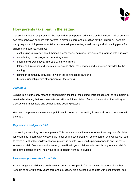

### **How parents take part in the setting**

Our setting recognises parents as the first and most important educators of their children. All of our staff see themselves as partners with parents in providing care and education for their children. There are many ways in which parents can take part in making our setting a welcoming and stimulating place for children and parents, such as:

- exchanging knowledge about their children's needs, activities, interests and progress with our staff;
- contributing to the progress check at age two;
- **Example 1** sharing their own special interests with the children;
- **EXT** taking part in events and informal discussions about the activities and curriculum provided by the setting;
- **•** joining in community activities, in which the setting takes part; and
- **•** building friendships with other parents in the setting.

#### *Joining in*

Joining in is not the only means of taking part in the life of the setting. Parents can offer to take part in a session by sharing their own interests and skills with the children. Parents have visited the setting to discuss cultural festivals and demonstrated cooking classes.

We welcome parents to make an appointment to come into the setting to see it at work or to speak with the staff.

#### *Key person and your child*

Our setting uses a key person approach. This means that each member of staff has a group of children for whom she is particularly responsible. Your child's key person will be the person who works with you to make sure that the childcare that we provide is right for your child's particular needs and interests. When your child first starts at the setting, she will help your child to settle, and throughout your child's time at the setting she will help your child to benefit from our activities.

#### *Learning opportunities for adults*

As well as gaining childcare qualifications, our staff take part in further training in order to help them to keep up-to date with early years care and education. We also keep up-to-date with best practice, as a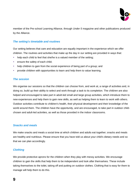

member of the Pre-school Learning Alliance, through *Under 5* magazine and other publications produced by the Alliance.

#### *The setting's timetable and routines*

Our setting believes that care and education are equally important in the experience which we offer children. The routines and activities that make up the day in our setting are provided in ways that:

- help each child to feel that she/he is a valued member of the setting;
- **ensure the safety of each child;**
- help children to gain from the social experience of being part of a group; and
- **•** provide children with opportunities to learn and help them to value learning.

#### *The session*

We organise our sessions so that the children can choose from, and work at, a range of activities and, in doing so, build up their ability to select and work through a task to its completion. The children are also helped and encouraged to take part in adult-led small and large group activities, which introduce them to new experiences and help them to gain new skills, as well as helping them to learn to work with others. Outdoor activities contribute to children's health, their physical development and their knowledge of the world around them. The children have the opportunity, and are encouraged, to take part in outdoor childchosen and adult-led activities, as well as those provided in the indoor classrooms.

#### *Snacks and meals*

We make snacks and meals a social time at which children and adults eat together; snacks and meals are healthy and nutritious. Please ensure that you have told us about your child's dietary needs and so that we can plan accordingly.

#### *Clothing*

We provide protective aprons for the children when they play with messy activities. We encourage children to gain the skills that help them to be independent and look after themselves. These include taking themselves to the toilet, taking off and putting on outdoor clothes. Clothing that is easy for them to manage will help them to do this.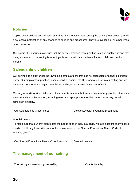

# **Policies**

Copies of our policies and procedures will be given to you to read during the settling-in process, you will also receive notification of any changes to policies and procedures. They are available at all other times when requested.

Our policies help you to make sure that the service provided by our setting is a high quality one and that being a member of the setting is an enjoyable and beneficial experience for each child and her/his parents.

# **Safeguarding children**

Our setting has a duty under the law to help safeguard children against suspected or actual 'significant harm'. Our employment practices ensure children against the likelihood of abuse in our setting and we have a procedure for managing complaints or allegations against a member of staff.

Our way of working with children and their parents ensures that we are aware of any problems that may emerge and can offer support, including referral to appropriate agencies, when necessary, to help families in difficulty.

| Our Safeguarding Officers are: | Colette Loveday & Amanda Broomhead |
|--------------------------------|------------------------------------|

#### **Special needs**

To make sure that our provision meets the needs of each individual child, we take account of any special needs a child may have. We work to the requirements of the Special Educational Needs Code of Practice (2001).

| Our Special Educational Needs Co-ordinator is | Colette Loveday |
|-----------------------------------------------|-----------------|
|-----------------------------------------------|-----------------|

# **The management of our setting**

| The setting is owned and governed by | Colette Loveday |
|--------------------------------------|-----------------|